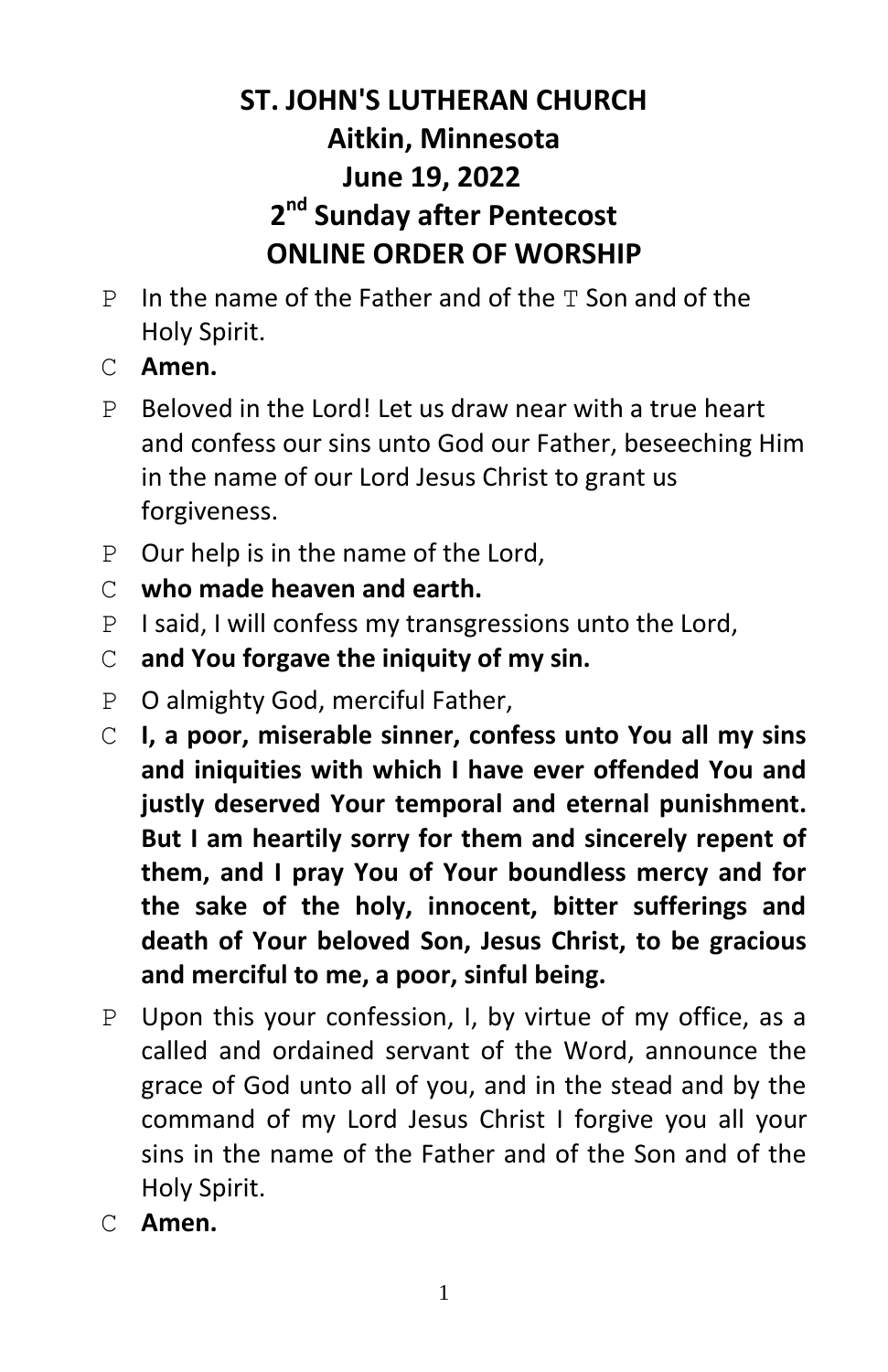# **ST. JOHN'S LUTHERAN CHURCH Aitkin, Minnesota June 19, 2022 2 nd Sunday after Pentecost ONLINE ORDER OF WORSHIP**

- $P$  In the name of the Father and of the  $T$  Son and of the Holy Spirit.
- C **Amen.**
- P Beloved in the Lord! Let us draw near with a true heart and confess our sins unto God our Father, beseeching Him in the name of our Lord Jesus Christ to grant us forgiveness.
- P Our help is in the name of the Lord,
- C **who made heaven and earth.**
- P I said, I will confess my transgressions unto the Lord,
- C **and You forgave the iniquity of my sin.**
- P O almighty God, merciful Father,
- C **I, a poor, miserable sinner, confess unto You all my sins and iniquities with which I have ever offended You and justly deserved Your temporal and eternal punishment. But I am heartily sorry for them and sincerely repent of them, and I pray You of Your boundless mercy and for the sake of the holy, innocent, bitter sufferings and death of Your beloved Son, Jesus Christ, to be gracious and merciful to me, a poor, sinful being.**
- P Upon this your confession, I, by virtue of my office, as a called and ordained servant of the Word, announce the grace of God unto all of you, and in the stead and by the command of my Lord Jesus Christ I forgive you all your sins in the name of the Father and of the Son and of the Holy Spirit.
- C **Amen.**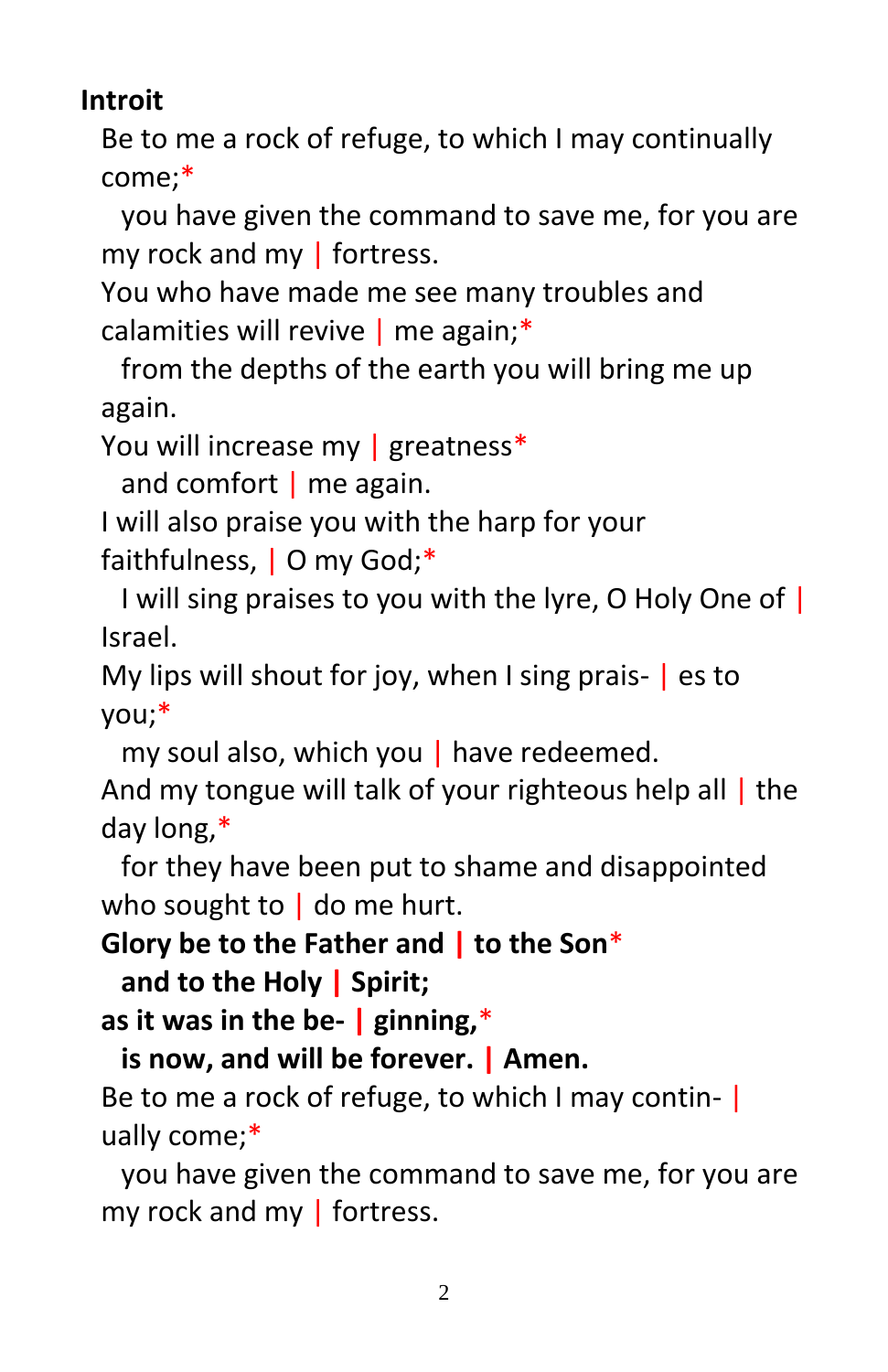# **Introit**

Be to me a rock of refuge, to which I may continually come;\*

you have given the command to save me, for you are my rock and my | fortress.

You who have made me see many troubles and calamities will revive | me again;\*

from the depths of the earth you will bring me up again.

You will increase my | greatness\*

and comfort  $\vert$  me again.

I will also praise you with the harp for your faithfulness, | O my God;\*

I will sing praises to you with the lyre, O Holy One of | Israel.

My lips will shout for joy, when I sing prais- | es to you;\*

my soul also, which you | have redeemed.

And my tongue will talk of your righteous help all | the day long,\*

for they have been put to shame and disappointed who sought to  $\vert$  do me hurt.

**Glory be to the Father and | to the Son**\*

**and to the Holy | Spirit;**

**as it was in the be- | ginning,**\*

**is now, and will be forever. | Amen.**

Be to me a rock of refuge, to which I may continually come;\*

you have given the command to save me, for you are my rock and my | fortress.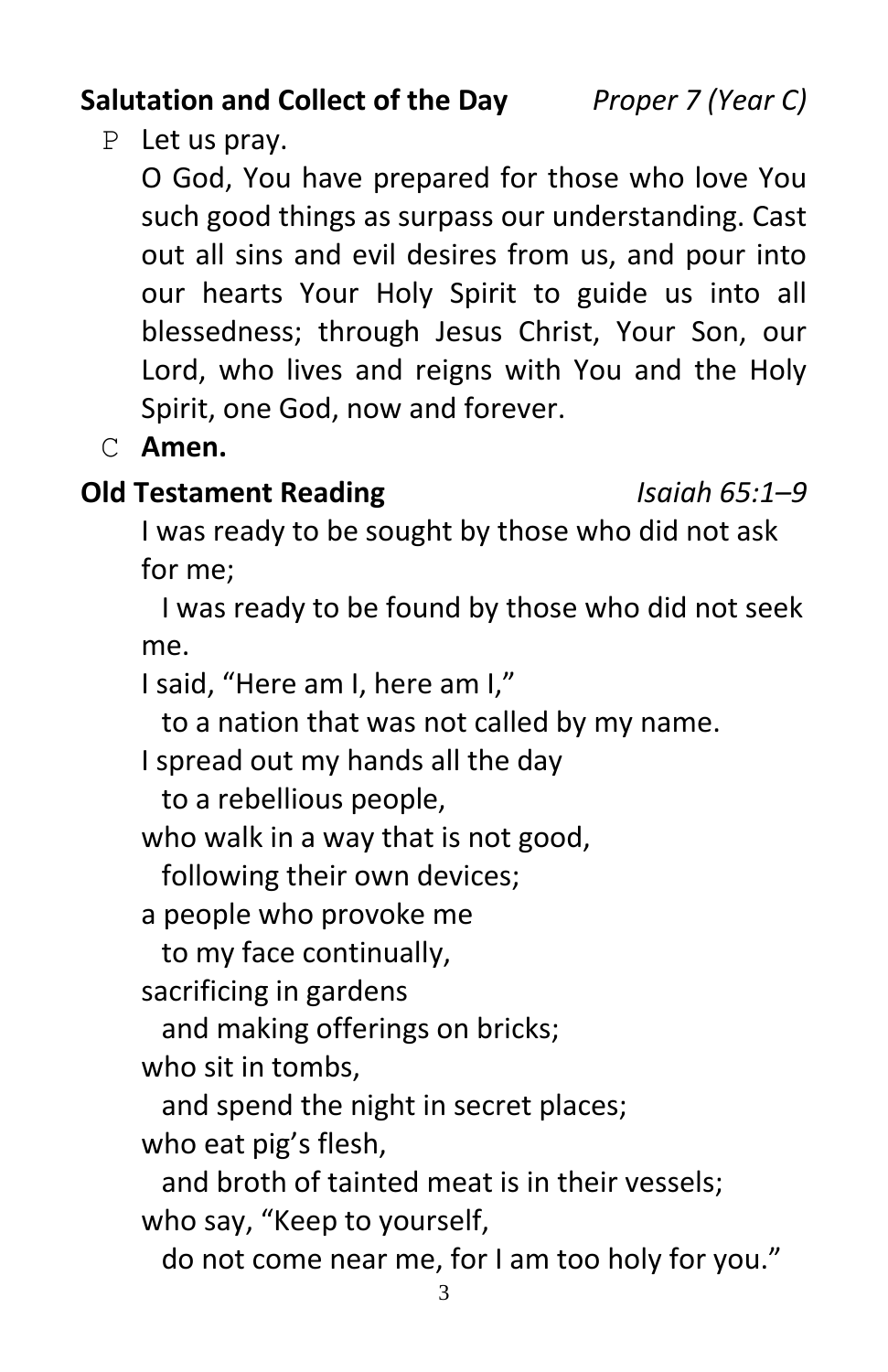## Lord, who lives and reigns with You and the Holy

Spirit, one God, now and forever. C **Amen.**

P Let us pray.

#### **Old Testament Reading** *Isaiah 65:1–9*

I was ready to be sought by those who did not ask for me;

O God, You have prepared for those who love You such good things as surpass our understanding. Cast out all sins and evil desires from us, and pour into our hearts Your Holy Spirit to guide us into all blessedness; through Jesus Christ, Your Son, our

I was ready to be found by those who did not seek me.

I said, "Here am I, here am I,"

to a nation that was not called by my name.

I spread out my hands all the day

to a rebellious people,

who walk in a way that is not good,

following their own devices;

a people who provoke me

to my face continually,

sacrificing in gardens

and making offerings on bricks;

who sit in tombs,

and spend the night in secret places;

who eat pig's flesh,

and broth of tainted meat is in their vessels; who say, "Keep to yourself,

do not come near me, for I am too holy for you."

**Salutation and Collect of the Day** *Proper 7 (Year C)*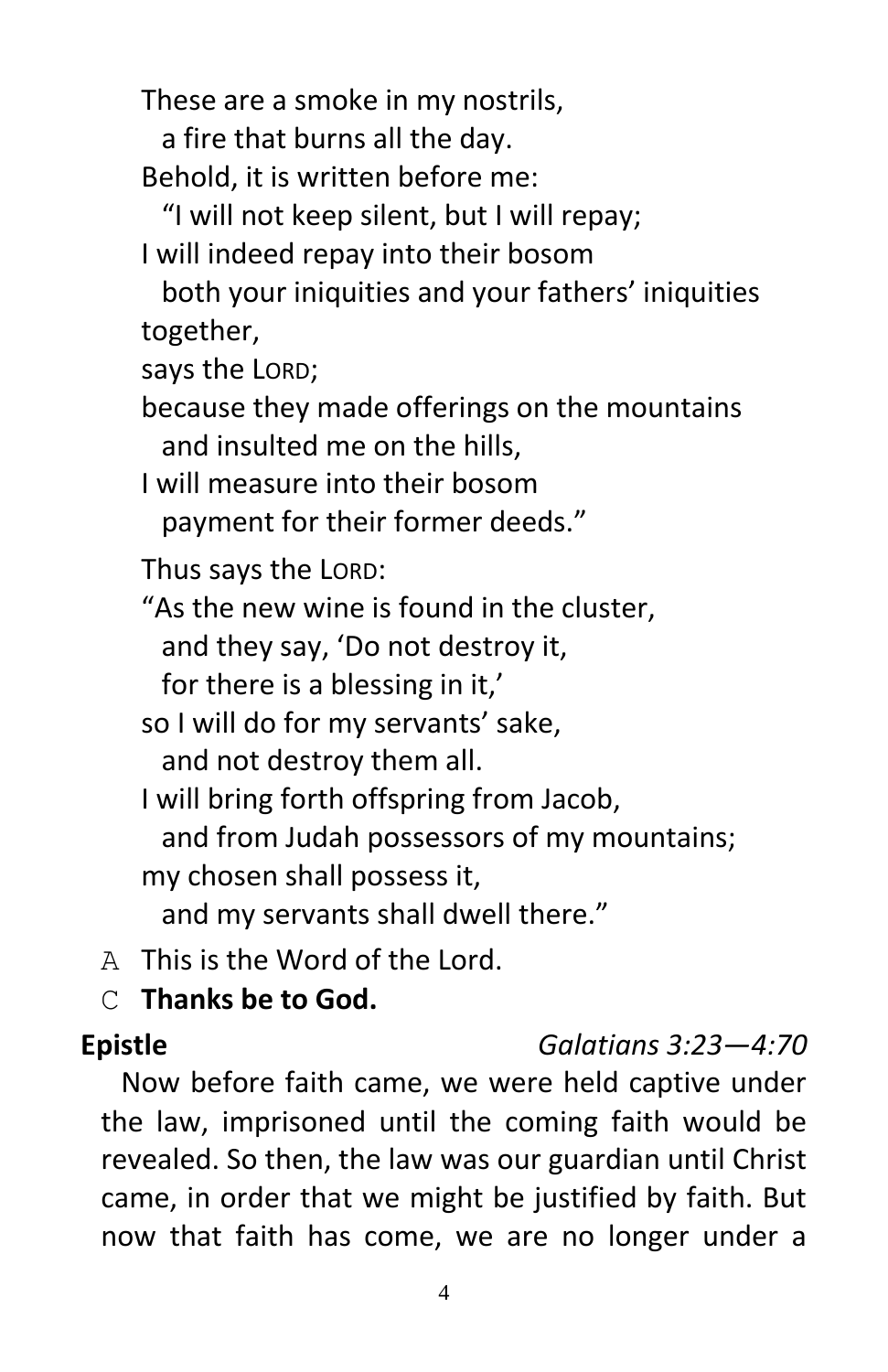These are a smoke in my nostrils,

a fire that burns all the day.

Behold, it is written before me:

"I will not keep silent, but I will repay;

I will indeed repay into their bosom

both your iniquities and your fathers' iniquities together,

says the LORD;

because they made offerings on the mountains and insulted me on the hills,

I will measure into their bosom payment for their former deeds."

Thus says the LORD:

"As the new wine is found in the cluster, and they say, 'Do not destroy it, for there is a blessing in it,'

so I will do for my servants' sake, and not destroy them all.

I will bring forth offspring from Jacob, and from Judah possessors of my mountains; my chosen shall possess it, and my servants shall dwell there."

A This is the Word of the Lord.

C **Thanks be to God.**

## **Epistle** *Galatians 3:23—4:70*

Now before faith came, we were held captive under the law, imprisoned until the coming faith would be revealed. So then, the law was our guardian until Christ came, in order that we might be justified by faith. But now that faith has come, we are no longer under a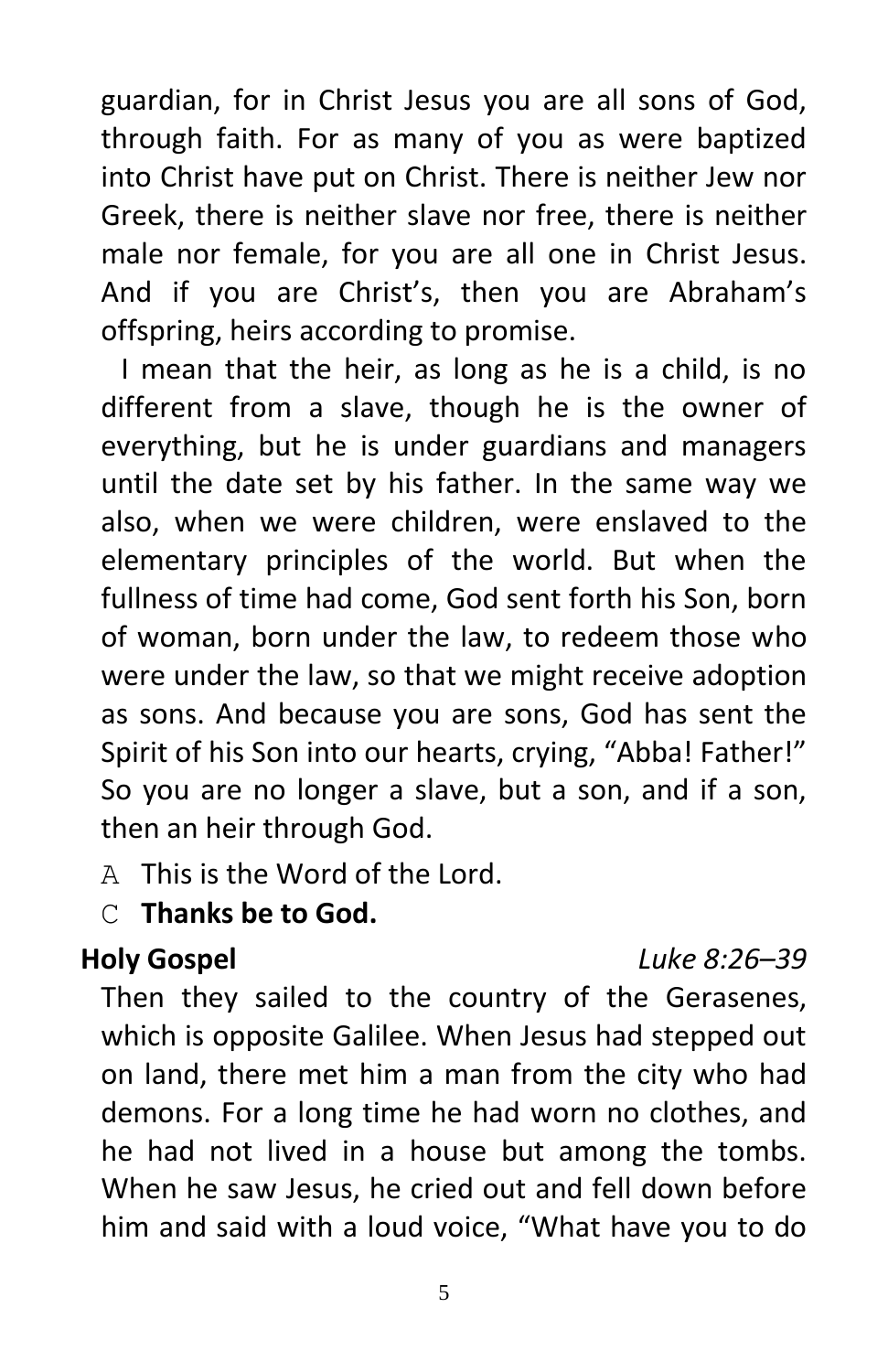guardian, for in Christ Jesus you are all sons of God, through faith. For as many of you as were baptized into Christ have put on Christ. There is neither Jew nor Greek, there is neither slave nor free, there is neither male nor female, for you are all one in Christ Jesus. And if you are Christ's, then you are Abraham's offspring, heirs according to promise.

I mean that the heir, as long as he is a child, is no different from a slave, though he is the owner of everything, but he is under guardians and managers until the date set by his father. In the same way we also, when we were children, were enslaved to the elementary principles of the world. But when the fullness of time had come, God sent forth his Son, born of woman, born under the law, to redeem those who were under the law, so that we might receive adoption as sons. And because you are sons, God has sent the Spirit of his Son into our hearts, crying, "Abba! Father!" So you are no longer a slave, but a son, and if a son, then an heir through God.

A This is the Word of the Lord.

### C **Thanks be to God.**

### **Holy Gospel** *Luke 8:26–39*

Then they sailed to the country of the Gerasenes, which is opposite Galilee. When Jesus had stepped out on land, there met him a man from the city who had demons. For a long time he had worn no clothes, and he had not lived in a house but among the tombs. When he saw Jesus, he cried out and fell down before him and said with a loud voice, "What have you to do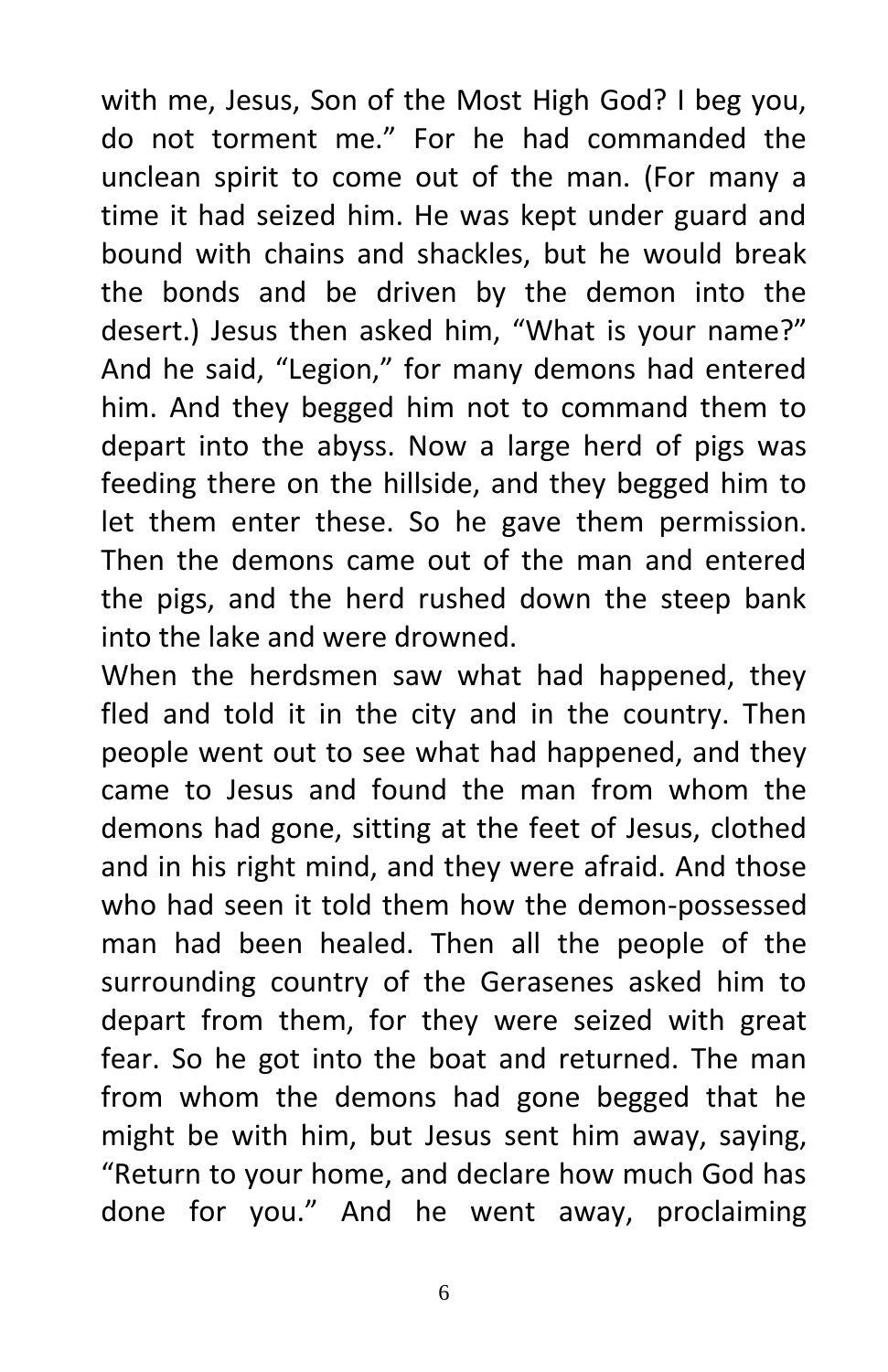with me, Jesus, Son of the Most High God? I beg you, do not torment me." For he had commanded the unclean spirit to come out of the man. (For many a time it had seized him. He was kept under guard and bound with chains and shackles, but he would break the bonds and be driven by the demon into the desert.) Jesus then asked him, "What is your name?" And he said, "Legion," for many demons had entered him. And they begged him not to command them to depart into the abyss. Now a large herd of pigs was feeding there on the hillside, and they begged him to let them enter these. So he gave them permission. Then the demons came out of the man and entered the pigs, and the herd rushed down the steep bank into the lake and were drowned.

When the herdsmen saw what had happened, they fled and told it in the city and in the country. Then people went out to see what had happened, and they came to Jesus and found the man from whom the demons had gone, sitting at the feet of Jesus, clothed and in his right mind, and they were afraid. And those who had seen it told them how the demon-possessed man had been healed. Then all the people of the surrounding country of the Gerasenes asked him to depart from them, for they were seized with great fear. So he got into the boat and returned. The man from whom the demons had gone begged that he might be with him, but Jesus sent him away, saying, "Return to your home, and declare how much God has done for you." And he went away, proclaiming

6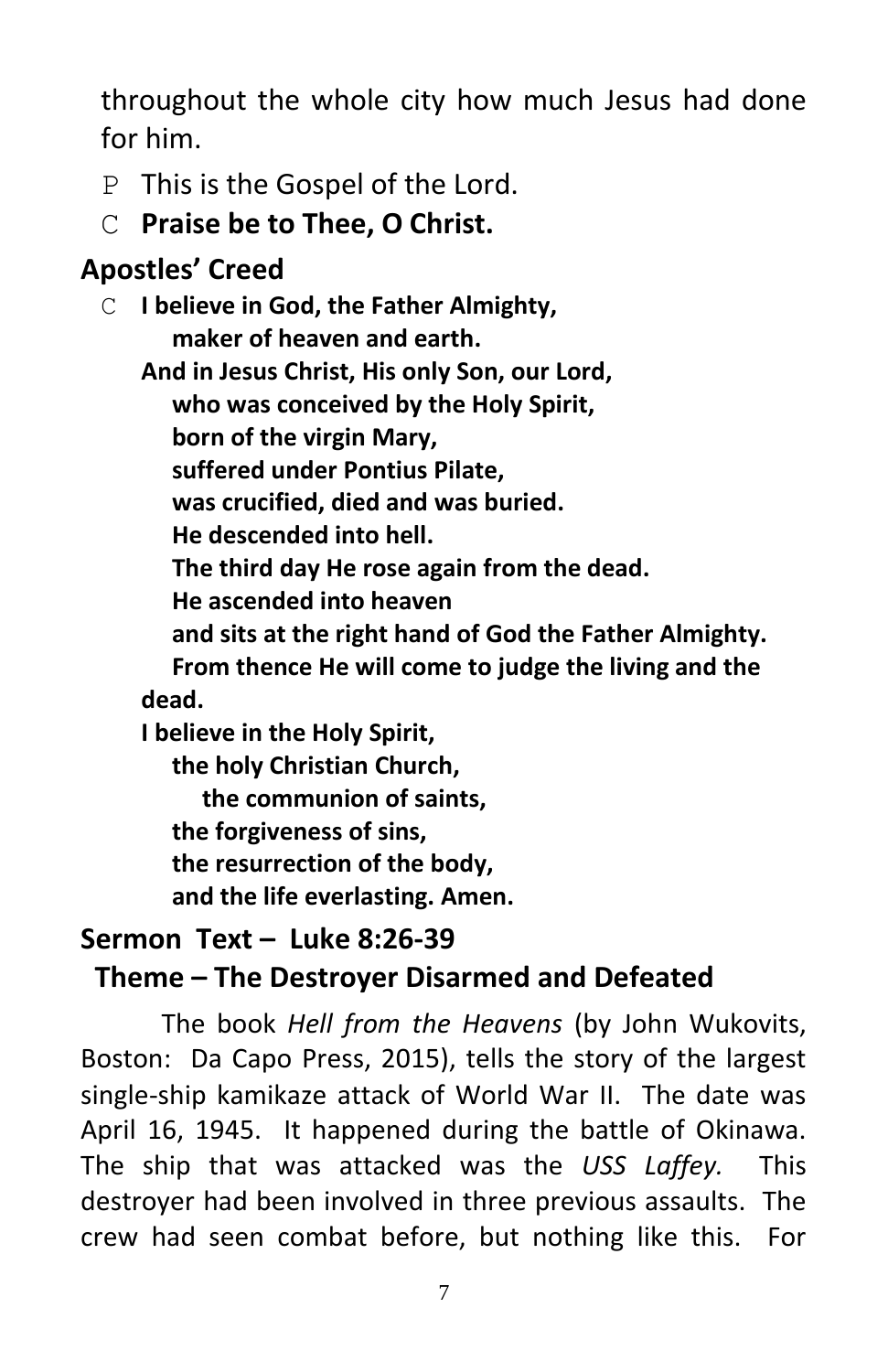throughout the whole city how much Jesus had done for him.

- P This is the Gospel of the Lord.
- C **Praise be to Thee, O Christ.**

# **Apostles' Creed**

C **I believe in God, the Father Almighty, maker of heaven and earth. And in Jesus Christ, His only Son, our Lord, who was conceived by the Holy Spirit, born of the virgin Mary, suffered under Pontius Pilate, was crucified, died and was buried. He descended into hell. The third day He rose again from the dead. He ascended into heaven and sits at the right hand of God the Father Almighty. From thence He will come to judge the living and the dead. I believe in the Holy Spirit, the holy Christian Church,**

 **the communion of saints, the forgiveness of sins, the resurrection of the body, and the life everlasting. Amen.**

## **Sermon Text – Luke 8:26-39 Theme – The Destroyer Disarmed and Defeated**

The book *Hell from the Heavens* (by John Wukovits, Boston: Da Capo Press, 2015), tells the story of the largest single-ship kamikaze attack of World War II. The date was April 16, 1945. It happened during the battle of Okinawa. The ship that was attacked was the *USS Laffey.* This destroyer had been involved in three previous assaults. The crew had seen combat before, but nothing like this. For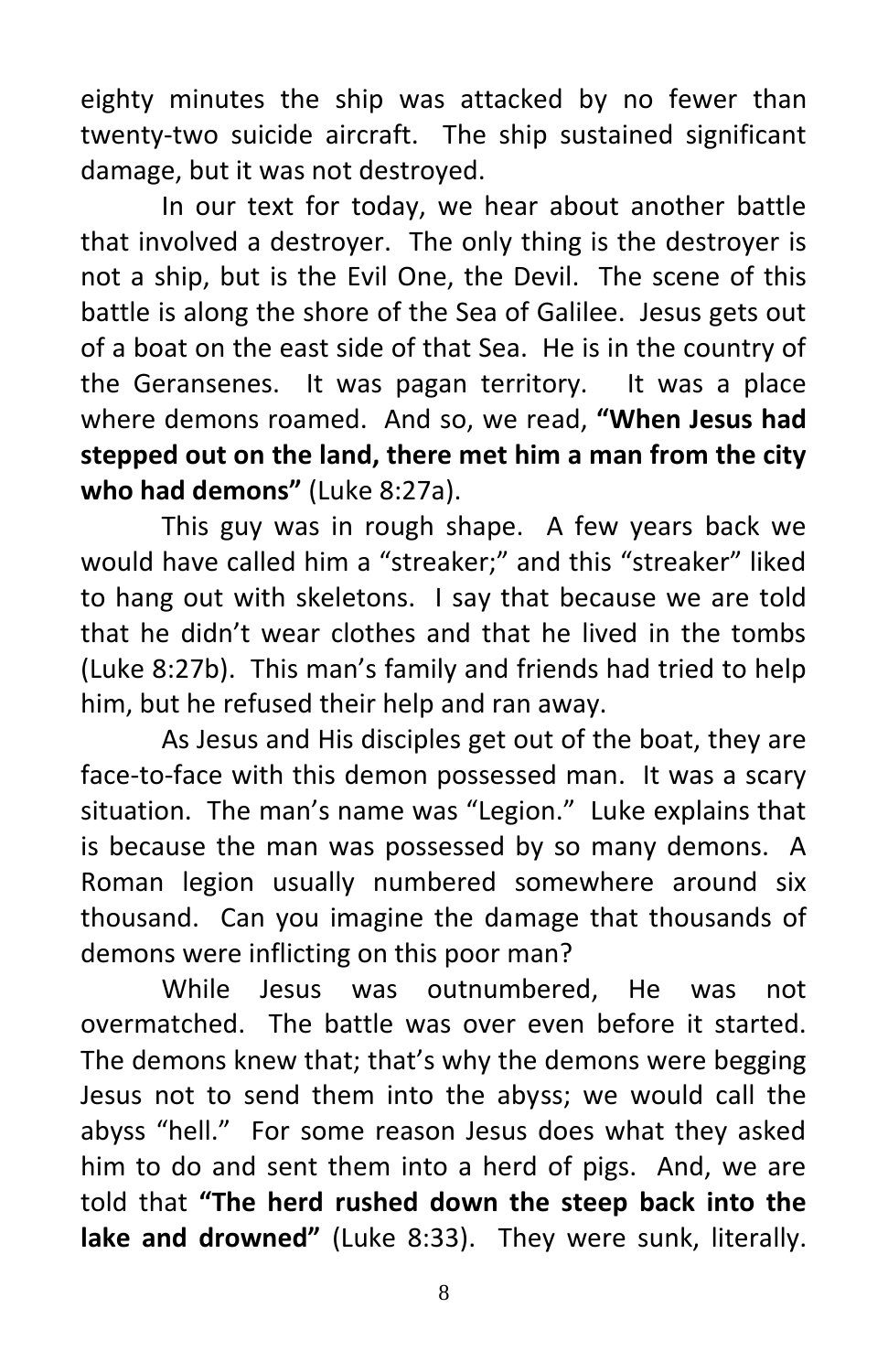eighty minutes the ship was attacked by no fewer than twenty-two suicide aircraft. The ship sustained significant damage, but it was not destroyed.

In our text for today, we hear about another battle that involved a destroyer. The only thing is the destroyer is not a ship, but is the Evil One, the Devil. The scene of this battle is along the shore of the Sea of Galilee. Jesus gets out of a boat on the east side of that Sea. He is in the country of the Geransenes. It was pagan territory. It was a place where demons roamed. And so, we read, **"When Jesus had stepped out on the land, there met him a man from the city who had demons"** (Luke 8:27a).

This guy was in rough shape. A few years back we would have called him a "streaker;" and this "streaker" liked to hang out with skeletons. I say that because we are told that he didn't wear clothes and that he lived in the tombs (Luke 8:27b). This man's family and friends had tried to help him, but he refused their help and ran away.

As Jesus and His disciples get out of the boat, they are face-to-face with this demon possessed man. It was a scary situation. The man's name was "Legion." Luke explains that is because the man was possessed by so many demons. A Roman legion usually numbered somewhere around six thousand. Can you imagine the damage that thousands of demons were inflicting on this poor man?

While Jesus was outnumbered, He was not overmatched. The battle was over even before it started. The demons knew that; that's why the demons were begging Jesus not to send them into the abyss; we would call the abyss "hell." For some reason Jesus does what they asked him to do and sent them into a herd of pigs. And, we are told that **"The herd rushed down the steep back into the lake and drowned"** (Luke 8:33). They were sunk, literally.

8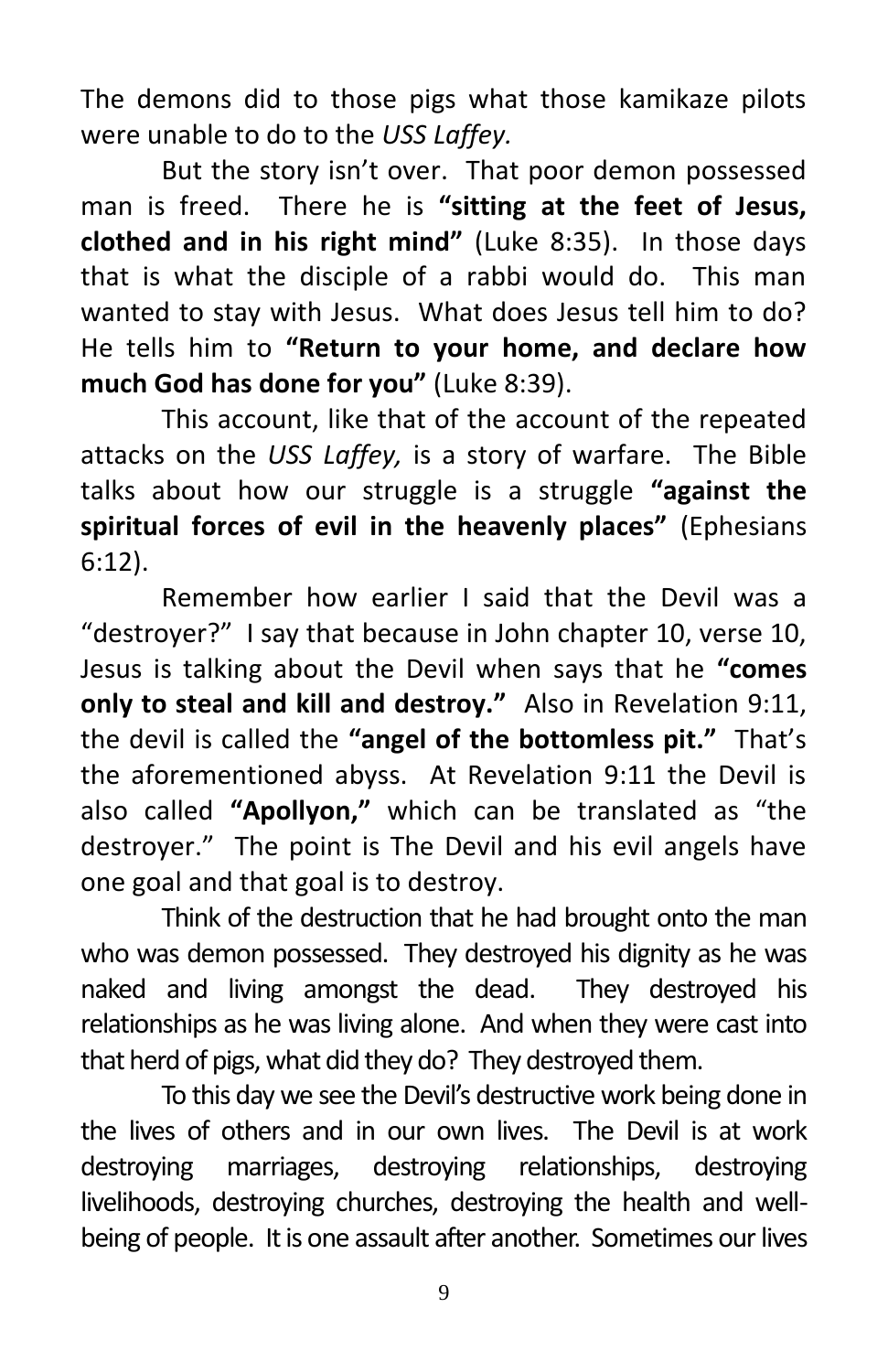The demons did to those pigs what those kamikaze pilots were unable to do to the *USS Laffey.* 

But the story isn't over. That poor demon possessed man is freed. There he is **"sitting at the feet of Jesus, clothed and in his right mind"** (Luke 8:35). In those days that is what the disciple of a rabbi would do. This man wanted to stay with Jesus. What does Jesus tell him to do? He tells him to **"Return to your home, and declare how much God has done for you"** (Luke 8:39).

This account, like that of the account of the repeated attacks on the *USS Laffey,* is a story of warfare. The Bible talks about how our struggle is a struggle **"against the spiritual forces of evil in the heavenly places"** (Ephesians 6:12).

Remember how earlier I said that the Devil was a "destroyer?" I say that because in John chapter 10, verse 10, Jesus is talking about the Devil when says that he **"comes only to steal and kill and destroy."** Also in Revelation 9:11, the devil is called the **"angel of the bottomless pit."** That's the aforementioned abyss. At Revelation 9:11 the Devil is also called **"Apollyon,"** which can be translated as "the destroyer." The point is The Devil and his evil angels have one goal and that goal is to destroy.

Think of the destruction that he had brought onto the man who was demon possessed. They destroyed his dignity as he was naked and living amongst the dead. They destroyed his relationships as he was living alone. And when they were cast into that herd of pigs, what did they do? They destroyed them.

To this day we see the Devil's destructive work being done in the lives of others and in our own lives. The Devil is at work destroying marriages, destroying relationships, destroying livelihoods, destroying churches, destroying the health and wellbeing of people. It is one assault after another. Sometimes our lives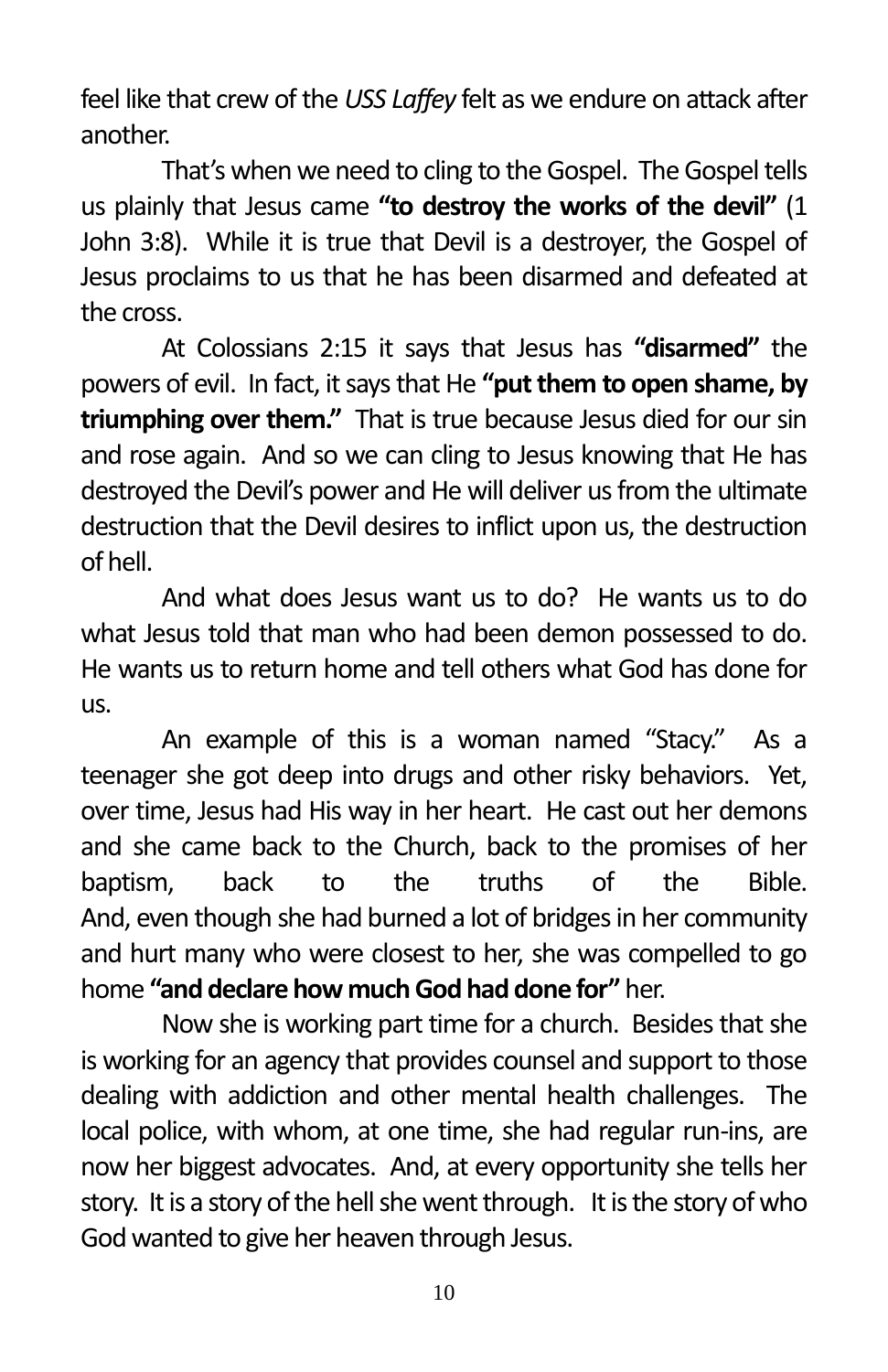feel like that crew of the *USS Laffey* felt as we endure on attack after another.

That's when we need to cling to the Gospel. The Gospel tells us plainly that Jesus came **"to destroy the works of the devil"** (1 John 3:8). While it is true that Devil is a destroyer, the Gospel of Jesus proclaims to us that he has been disarmed and defeated at the cross.

At Colossians 2:15 it says that Jesus has **"disarmed"** the powers of evil. In fact, it saysthat He **"put them to open shame, by triumphing over them."** That is true because Jesus died for our sin and rose again. And so we can cling to Jesus knowing that He has destroyed the Devil's power and He will deliver us from the ultimate destruction that the Devil desires to inflict upon us, the destruction of hell.

And what does Jesus want us to do? He wants us to do what Jesus told that man who had been demon possessed to do. He wants us to return home and tell others what God has done for us.

An example of this is a woman named "Stacy." As a teenager she got deep into drugs and other risky behaviors. Yet, over time, Jesus had His way in her heart. He cast out her demons and she came back to the Church, back to the promises of her baptism, back to the truths of the Bible. And, even though she had burned a lot of bridges in her community and hurt many who were closest to her, she was compelled to go home **"and declare how much God had done for"** her.

Now she is working part time for a church. Besides that she is working for an agency that provides counsel and support to those dealing with addiction and other mental health challenges. The local police, with whom, at one time, she had regular run-ins, are now her biggest advocates. And, at every opportunity she tells her story. It is a story of the hell she went through. It is the story of who God wanted to give her heaven through Jesus.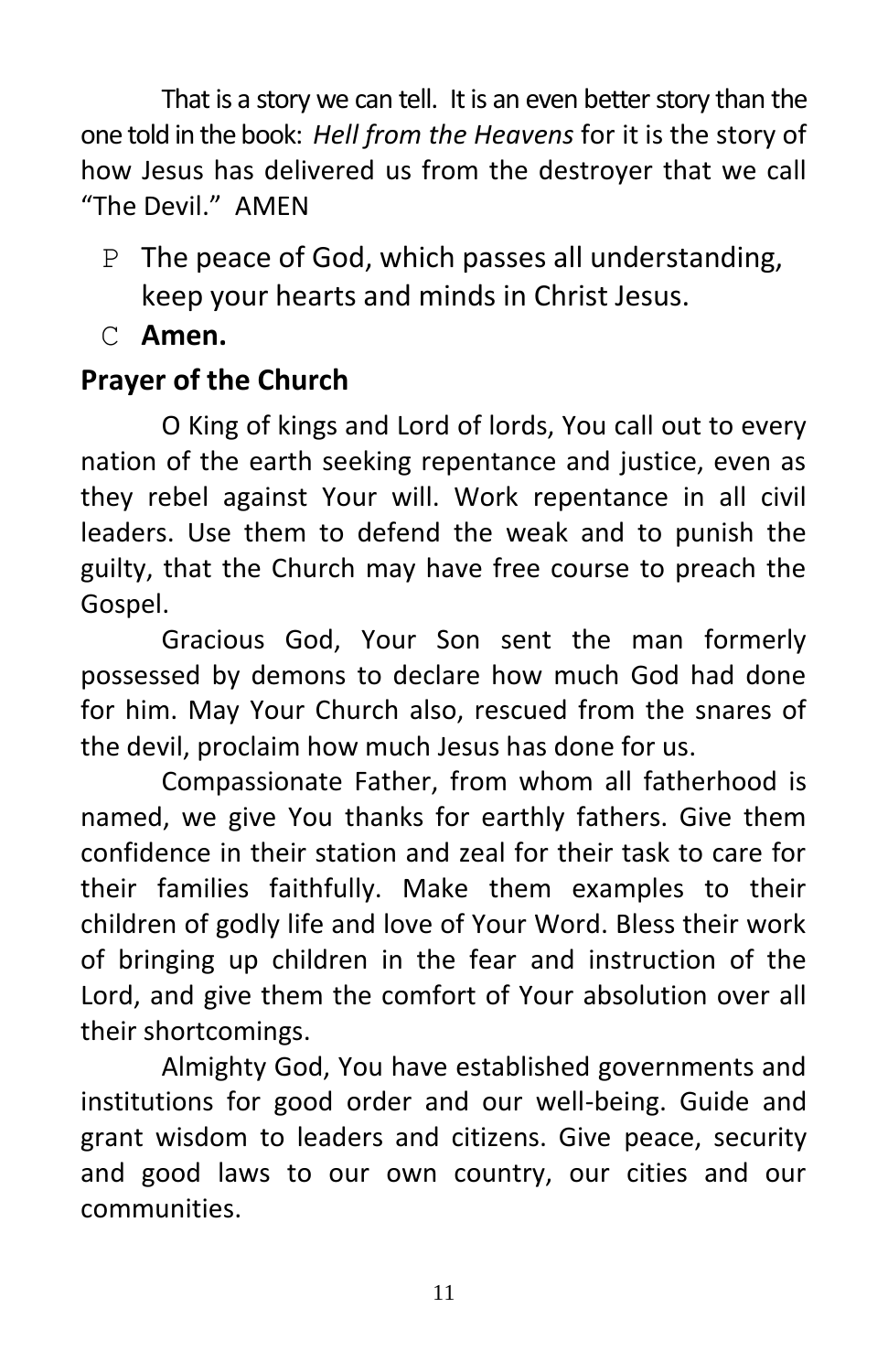That is a story we can tell. It is an even better story than the one told in the book: *Hell from the Heavens* for it is the story of how Jesus has delivered us from the destroyer that we call "The Devil." AMEN

- P The peace of God, which passes all understanding, keep your hearts and minds in Christ Jesus.
- C **Amen.**

## **Prayer of the Church**

O King of kings and Lord of lords, You call out to every nation of the earth seeking repentance and justice, even as they rebel against Your will. Work repentance in all civil leaders. Use them to defend the weak and to punish the guilty, that the Church may have free course to preach the Gospel.

Gracious God, Your Son sent the man formerly possessed by demons to declare how much God had done for him. May Your Church also, rescued from the snares of the devil, proclaim how much Jesus has done for us.

Compassionate Father, from whom all fatherhood is named, we give You thanks for earthly fathers. Give them confidence in their station and zeal for their task to care for their families faithfully. Make them examples to their children of godly life and love of Your Word. Bless their work of bringing up children in the fear and instruction of the Lord, and give them the comfort of Your absolution over all their shortcomings.

Almighty God, You have established governments and institutions for good order and our well-being. Guide and grant wisdom to leaders and citizens. Give peace, security and good laws to our own country, our cities and our **communities**